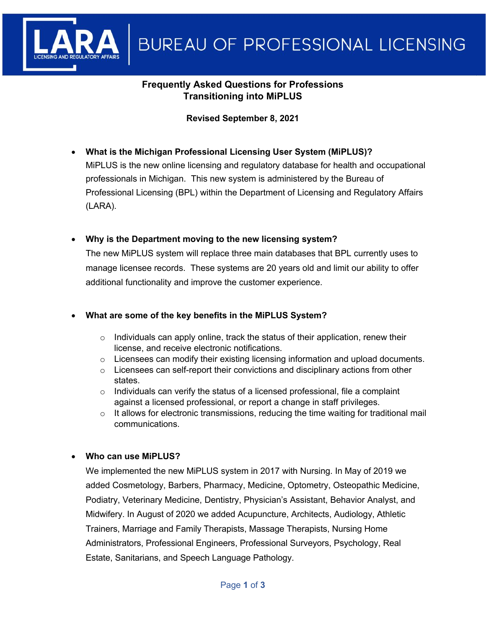

## **Frequently Asked Questions for Professions Transitioning into MiPLUS**

#### **Revised September 8, 2021**

- **What is the Michigan Professional Licensing User System (MiPLUS)?** MiPLUS is the new online licensing and regulatory database for health and occupational professionals in Michigan. This new system is administered by the Bureau of Professional Licensing (BPL) within the Department of Licensing and Regulatory Affairs (LARA).
- **Why is the Department moving to the new licensing system?**

The new MiPLUS system will replace three main databases that BPL currently uses to manage licensee records. These systems are 20 years old and limit our ability to offer additional functionality and improve the customer experience.

#### • **What are some of the key benefits in the MiPLUS System?**

- $\circ$  Individuals can apply online, track the status of their application, renew their license, and receive electronic notifications.
- $\circ$  Licensees can modify their existing licensing information and upload documents.
- $\circ$  Licensees can self-report their convictions and disciplinary actions from other states.
- $\circ$  Individuals can verify the status of a licensed professional, file a complaint against a licensed professional, or report a change in staff privileges.
- $\circ$  It allows for electronic transmissions, reducing the time waiting for traditional mail communications.

#### • **Who can use MiPLUS?**

We implemented the new MiPLUS system in 2017 with Nursing. In May of 2019 we added Cosmetology, Barbers, Pharmacy, Medicine, Optometry, Osteopathic Medicine, Podiatry, Veterinary Medicine, Dentistry, Physician's Assistant, Behavior Analyst, and Midwifery. In August of 2020 we added Acupuncture, Architects, Audiology, Athletic Trainers, Marriage and Family Therapists, Massage Therapists, Nursing Home Administrators, Professional Engineers, Professional Surveyors, Psychology, Real Estate, Sanitarians, and Speech Language Pathology.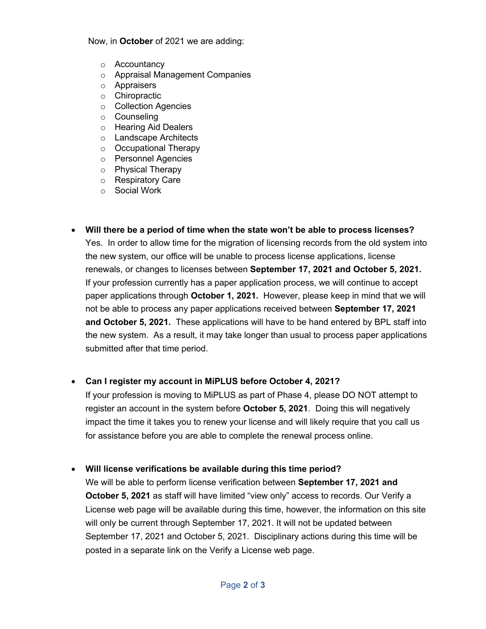Now, in **October** of 2021 we are adding:

- o Accountancy
- o Appraisal Management Companies
- o Appraisers
- o Chiropractic
- o Collection Agencies
- o Counseling
- o Hearing Aid Dealers
- o Landscape Architects
- o Occupational Therapy
- o Personnel Agencies
- o Physical Therapy
- o Respiratory Care
- o Social Work
- **Will there be a period of time when the state won't be able to process licenses?** Yes. In order to allow time for the migration of licensing records from the old system into the new system, our office will be unable to process license applications, license renewals, or changes to licenses between **September 17, 2021 and October 5, 2021.** If your profession currently has a paper application process, we will continue to accept paper applications through **October 1, 2021.** However, please keep in mind that we will not be able to process any paper applications received between **September 17, 2021 and October 5, 2021.** These applications will have to be hand entered by BPL staff into the new system. As a result, it may take longer than usual to process paper applications submitted after that time period.

#### • **Can I register my account in MiPLUS before October 4, 2021?**

If your profession is moving to MiPLUS as part of Phase 4, please DO NOT attempt to register an account in the system before **October 5, 2021**. Doing this will negatively impact the time it takes you to renew your license and will likely require that you call us for assistance before you are able to complete the renewal process online.

#### • **Will license verifications be available during this time period?**

We will be able to perform license verification between **September 17, 2021 and October 5, 2021** as staff will have limited "view only" access to records. Our Verify a License web page will be available during this time, however, the information on this site will only be current through September 17, 2021. It will not be updated between September 17, 2021 and October 5, 2021. Disciplinary actions during this time will be posted in a separate link on the Verify a License web page.